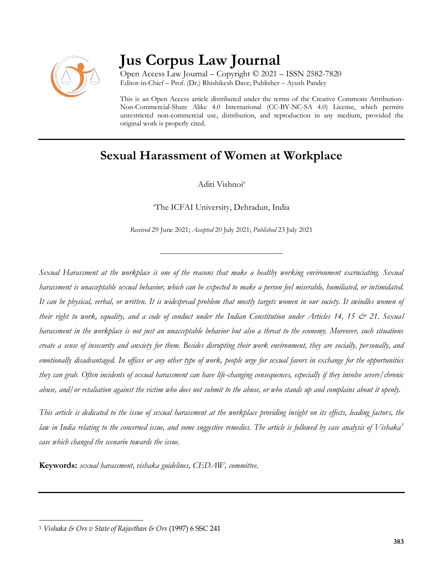

# **Jus Corpus Law Journal**

Open Access Law Journal – Copyright © 2021 – ISSN 2582-7820 Editor-in-Chief – Prof. (Dr.) Rhishikesh Dave; Publisher – Ayush Pandey

This is an Open Access article distributed under the terms of the Creative Commons Attribution-Non-Commercial-Share Alike 4.0 International (CC-BY-NC-SA 4.0) License, which permits unrestricted non-commercial use, distribution, and reproduction in any medium, provided the original work is properly cited.

# **Sexual Harassment of Women at Workplace**

Aditi Vishnoi<sup>a</sup>

<sup>a</sup>The ICFAI University, Dehradun, India

*Received* 29 June 2021; *Accepted* 20 July 2021; *Published* 23 July 2021

\_\_\_\_\_\_\_\_\_\_\_\_\_\_\_\_\_\_\_\_\_\_\_\_\_\_\_\_\_\_\_\_\_\_

*Sexual Harassment at the workplace is one of the reasons that make a healthy working environment excruciating. Sexual harassment is unacceptable sexual behavior, which can be expected to make a person feel miserable, humiliated, or intimidated. It can be physical, verbal, or written. It is widespread problem that mostly targets women in our society. It swindles women of their right to work, equality, and a code of conduct under the Indian Constitution under Articles 14, 15 & 21. Sexual harassment in the workplace is not just an unacceptable behavior but also a threat to the economy. Moreover, such situations create a sense of insecurity and anxiety for them. Besides disrupting their work environment, they are socially, personally, and emotionally disadvantaged. In offices or any other type of work, people urge for sexual favors in exchange for the opportunities they can grab. Often incidents of sexual harassment can have life-changing consequences, especially if they involve severe/chronic abuse, and/or retaliation against the victim who does not submit to the abuse, or who stands up and complains about it openly.*

*This article is dedicated to the issue of sexual harassment at the workplace providing insight on its effects, leading factors, the law in India relating to the concerned issue, and some suggestive remedies. The article is followed by case analysis of Vishaka<sup>1</sup> case which changed the scenario towards the issue.*

**Keywords:** *sexual harassment, vishaka guidelines, CEDAW, committee.*

 $\overline{\phantom{a}}$ <sup>1</sup> *Vishaka & Ors v State of Rajasthan & Ors* (1997) 6 SSC 241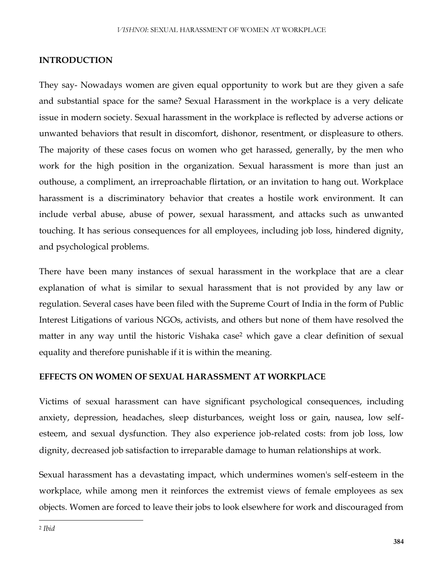#### **INTRODUCTION**

They say- Nowadays women are given equal opportunity to work but are they given a safe and substantial space for the same? Sexual Harassment in the workplace is a very delicate issue in modern society. Sexual harassment in the workplace is reflected by adverse actions or unwanted behaviors that result in discomfort, dishonor, resentment, or displeasure to others. The majority of these cases focus on women who get harassed, generally, by the men who work for the high position in the organization. Sexual harassment is more than just an outhouse, a compliment, an irreproachable flirtation, or an invitation to hang out. Workplace harassment is a discriminatory behavior that creates a hostile work environment. It can include verbal abuse, abuse of power, sexual harassment, and attacks such as unwanted touching. It has serious consequences for all employees, including job loss, hindered dignity, and psychological problems.

There have been many instances of sexual harassment in the workplace that are a clear explanation of what is similar to sexual harassment that is not provided by any law or regulation. Several cases have been filed with the Supreme Court of India in the form of Public Interest Litigations of various NGOs, activists, and others but none of them have resolved the matter in any way until the historic Vishaka case<sup>2</sup> which gave a clear definition of sexual equality and therefore punishable if it is within the meaning.

#### **EFFECTS ON WOMEN OF SEXUAL HARASSMENT AT WORKPLACE**

Victims of sexual harassment can have significant psychological consequences, including anxiety, depression, headaches, sleep disturbances, weight loss or gain, nausea, low selfesteem, and sexual dysfunction. They also experience job-related costs: from job loss, low dignity, decreased job satisfaction to irreparable damage to human relationships at work.

Sexual harassment has a devastating impact, which undermines women's self-esteem in the workplace, while among men it reinforces the extremist views of female employees as sex objects. Women are forced to leave their jobs to look elsewhere for work and discouraged from

 $\overline{\phantom{a}}$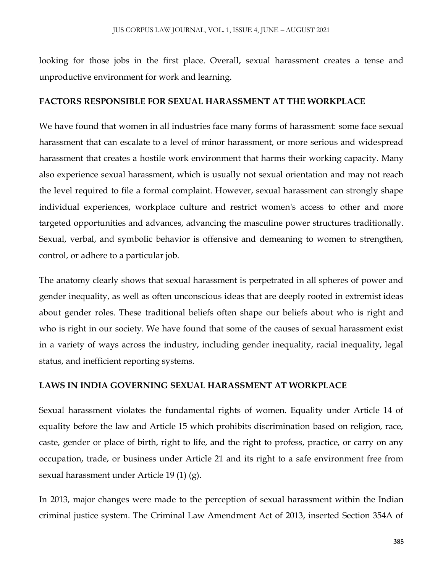looking for those jobs in the first place. Overall, sexual harassment creates a tense and unproductive environment for work and learning.

#### **FACTORS RESPONSIBLE FOR SEXUAL HARASSMENT AT THE WORKPLACE**

We have found that women in all industries face many forms of harassment: some face sexual harassment that can escalate to a level of minor harassment, or more serious and widespread harassment that creates a hostile work environment that harms their working capacity. Many also experience sexual harassment, which is usually not sexual orientation and may not reach the level required to file a formal complaint. However, sexual harassment can strongly shape individual experiences, workplace culture and restrict women's access to other and more targeted opportunities and advances, advancing the masculine power structures traditionally. Sexual, verbal, and symbolic behavior is offensive and demeaning to women to strengthen, control, or adhere to a particular job.

The anatomy clearly shows that sexual harassment is perpetrated in all spheres of power and gender inequality, as well as often unconscious ideas that are deeply rooted in extremist ideas about gender roles. These traditional beliefs often shape our beliefs about who is right and who is right in our society. We have found that some of the causes of sexual harassment exist in a variety of ways across the industry, including gender inequality, racial inequality, legal status, and inefficient reporting systems.

#### **LAWS IN INDIA GOVERNING SEXUAL HARASSMENT AT WORKPLACE**

Sexual harassment violates the fundamental rights of women. Equality under Article 14 of equality before the law and Article 15 which prohibits discrimination based on religion, race, caste, gender or place of birth, right to life, and the right to profess, practice, or carry on any occupation, trade, or business under Article 21 and its right to a safe environment free from sexual harassment under Article 19 (1) (g).

In 2013, major changes were made to the perception of sexual harassment within the Indian criminal justice system. The Criminal Law Amendment Act of 2013, inserted Section 354A of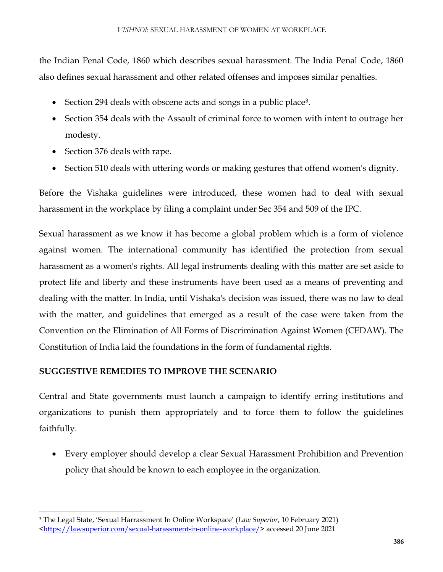the Indian Penal Code, 1860 which describes sexual harassment. The India Penal Code, 1860 also defines sexual harassment and other related offenses and imposes similar penalties.

- Section 294 deals with obscene acts and songs in a public place<sup>3</sup>.
- Section 354 deals with the Assault of criminal force to women with intent to outrage her modesty.
- Section 376 deals with rape.

 $\overline{\phantom{a}}$ 

• Section 510 deals with uttering words or making gestures that offend women's dignity.

Before the Vishaka guidelines were introduced, these women had to deal with sexual harassment in the workplace by filing a complaint under Sec 354 and 509 of the IPC.

Sexual harassment as we know it has become a global problem which is a form of violence against women. The international community has identified the protection from sexual harassment as a women's rights. All legal instruments dealing with this matter are set aside to protect life and liberty and these instruments have been used as a means of preventing and dealing with the matter. In India, until Vishaka's decision was issued, there was no law to deal with the matter, and guidelines that emerged as a result of the case were taken from the Convention on the Elimination of All Forms of Discrimination Against Women (CEDAW). The Constitution of India laid the foundations in the form of fundamental rights.

# **SUGGESTIVE REMEDIES TO IMPROVE THE SCENARIO**

Central and State governments must launch a campaign to identify erring institutions and organizations to punish them appropriately and to force them to follow the guidelines faithfully.

 Every employer should develop a clear Sexual Harassment Prohibition and Prevention policy that should be known to each employee in the organization.

<sup>3</sup> The Legal State, 'Sexual Harrassment In Online Workspace' (*Law Superior*, 10 February 2021)

[<sup>&</sup>lt;https://lawsuperior.com/sexual-harassment-in-online-workplace/>](https://lawsuperior.com/sexual-harassment-in-online-workplace/) accessed 20 June 2021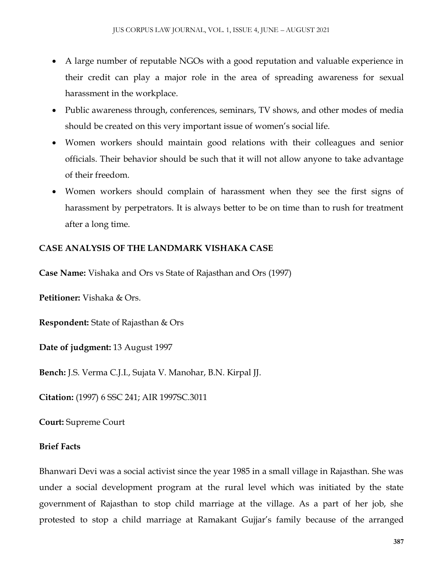- A large number of reputable NGOs with a good reputation and valuable experience in their credit can play a major role in the area of spreading awareness for sexual harassment in the workplace.
- Public awareness through, conferences, seminars, TV shows, and other modes of media should be created on this very important issue of women's social life.
- Women workers should maintain good relations with their colleagues and senior officials. Their behavior should be such that it will not allow anyone to take advantage of their freedom.
- Women workers should complain of harassment when they see the first signs of harassment by perpetrators. It is always better to be on time than to rush for treatment after a long time.

# **CASE ANALYSIS OF THE LANDMARK VISHAKA CASE**

**Case Name:** Vishaka and Ors vs State of Rajasthan and Ors (1997)

**Petitioner:** Vishaka & Ors.

**Respondent:** State of Rajasthan & Ors

**Date of judgment:** 13 August 1997

**Bench:** J.S. Verma C.J.I., Sujata V. Manohar, B.N. Kirpal JJ.

**Citation:** (1997) 6 SSC 241; AIR 1997SC.3011

**Court:** Supreme Court

## **Brief Facts**

Bhanwari Devi was a social activist since the year 1985 in a small village in Rajasthan. She was under a social development program at the rural level which was initiated by the state government of Rajasthan to stop child marriage at the village. As a part of her job, she protested to stop a child marriage at Ramakant Gujjar's family because of the arranged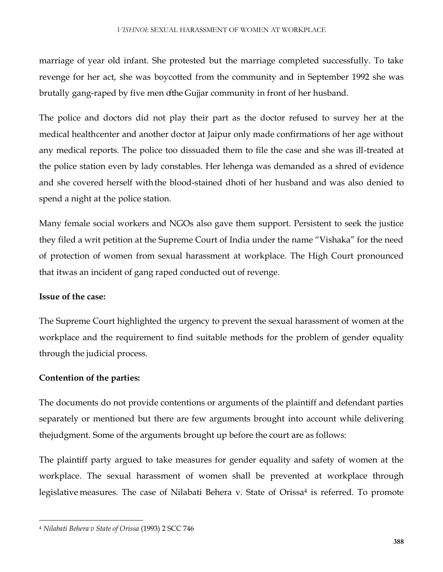marriage of year old infant. She protested but the marriage completed successfully. To take revenge for her act, she was boycotted from the community and in September 1992 she was brutally gang-raped by five men ofthe Gujjar community in front of her husband.

The police and doctors did not play their part as the doctor refused to survey her at the medical healthcenter and another doctor at Jaipur only made confirmations of her age without any medical reports. The police too dissuaded them to file the case and she was ill-treated at the police station even by lady constables. Her lehenga was demanded as a shred of evidence and she covered herself withthe blood-stained dhoti of her husband and was also denied to spend a night at the police station.

Many female social workers and NGOs also gave them support. Persistent to seek the justice they filed a writ petition at the Supreme Court of India under the name "Vishaka" for the need of protection of women from sexual harassment at workplace. The High Court pronounced that itwas an incident of gang raped conducted out of revenge.

#### **Issue of the case:**

 $\overline{\phantom{a}}$ 

The Supreme Court highlighted the urgency to prevent the sexual harassment of women at the workplace and the requirement to find suitable methods for the problem of gender equality through the judicial process.

## **Contention of the parties:**

The documents do not provide contentions or arguments of the plaintiff and defendant parties separately or mentioned but there are few arguments brought into account while delivering thejudgment. Some of the arguments brought up before the court are as follows:

The plaintiff party argued to take measures for gender equality and safety of women at the workplace. The sexual harassment of women shall be prevented at workplace through legislative measures. The case of Nilabati Behera v. State of Orissa<sup>4</sup> is referred. To promote

<sup>4</sup> *Nilabati Behera v State of Orissa* (1993) 2 SCC 746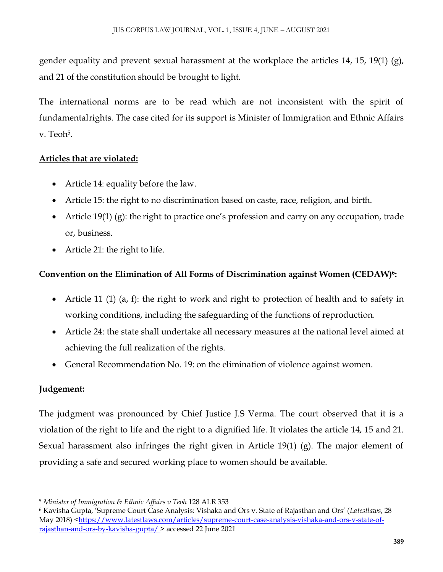gender equality and prevent sexual harassment at the workplace the articles 14, 15, 19(1) (g), and 21 of the constitution should be brought to light.

The international norms are to be read which are not inconsistent with the spirit of fundamentalrights. The case cited for its support is Minister of Immigration and Ethnic Affairs v. Teoh<sup>5</sup>.

# **Articles that are violated:**

- Article 14: equality before the law.
- Article 15: the right to no discrimination based on caste, race, religion, and birth.
- Article 19(1) (g): the right to practice one's profession and carry on any occupation, trade or, business.
- Article 21: the right to life.

# **Convention on the Elimination of All Forms of Discrimination against Women (CEDAW)<sup>6</sup> :**

- Article 11 (1) (a, f): the right to work and right to protection of health and to safety in working conditions, including the safeguarding of the functions of reproduction.
- Article 24: the state shall undertake all necessary measures at the national level aimed at achieving the full realization of the rights.
- General Recommendation No. 19: on the elimination of violence against women.

# **Judgement:**

 $\overline{\phantom{a}}$ 

The judgment was pronounced by Chief Justice J.S Verma. The court observed that it is a violation of the right to life and the right to a dignified life. It violates the article 14, 15 and 21. Sexual harassment also infringes the right given in Article 19(1) (g). The major element of providing a safe and secured working place to women should be available.

<sup>5</sup> *Minister of Immigration & Ethnic Affairs v Teoh* 128 ALR 353

<sup>6</sup> Kavisha Gupta, 'Supreme Court Case Analysis: Vishaka and Ors v. State of Rajasthan and Ors' (*Latestlaws*, 28 May 2018) [<https://www.latestlaws.com/articles/supreme-court-case-analysis-vishaka-and-ors-v-state-of](https://www.latestlaws.com/articles/supreme-court-case-analysis-vishaka-and-ors-v-state-of-rajasthan-and-ors-by-kavisha-gupta/)[rajasthan-and-ors-by-kavisha-gupta/ >](https://www.latestlaws.com/articles/supreme-court-case-analysis-vishaka-and-ors-v-state-of-rajasthan-and-ors-by-kavisha-gupta/) accessed 22 June 2021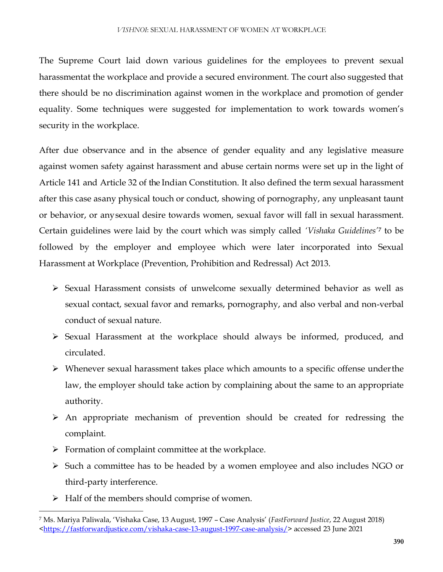The Supreme Court laid down various guidelines for the employees to prevent sexual harassmentat the workplace and provide a secured environment. The court also suggested that there should be no discrimination against women in the workplace and promotion of gender equality. Some techniques were suggested for implementation to work towards women's security in the workplace.

After due observance and in the absence of gender equality and any legislative measure against women safety against harassment and abuse certain norms were set up in the light of Article 141 and Article 32 of the Indian Constitution. It also defined the term sexual harassment after this case asany physical touch or conduct, showing of pornography, any unpleasant taunt or behavior, or anysexual desire towards women, sexual favor will fall in sexual harassment. Certain guidelines were laid by the court which was simply called *'Vishaka Guidelines'<sup>7</sup>* to be followed by the employer and employee which were later incorporated into Sexual Harassment at Workplace (Prevention, Prohibition and Redressal) Act 2013.

- Sexual Harassment consists of unwelcome sexually determined behavior as well as sexual contact, sexual favor and remarks, pornography, and also verbal and non-verbal conduct of sexual nature.
- Sexual Harassment at the workplace should always be informed, produced, and circulated.
- $\triangleright$  Whenever sexual harassment takes place which amounts to a specific offense under the law, the employer should take action by complaining about the same to an appropriate authority.
- $\triangleright$  An appropriate mechanism of prevention should be created for redressing the complaint.
- $\triangleright$  Formation of complaint committee at the workplace.
- Such a committee has to be headed by a women employee and also includes NGO or third-party interference.
- $\triangleright$  Half of the members should comprise of women.

 $\overline{\phantom{a}}$ 

<sup>7</sup> Ms. Mariya Paliwala, 'Vishaka Case, 13 August, 1997 – Case Analysis' (*FastForward Justice*, 22 August 2018) [<https://fastforwardjustice.com/vishaka-case-13-august-1997-case-analysis/>](https://fastforwardjustice.com/vishaka-case-13-august-1997-case-analysis/) accessed 23 June 2021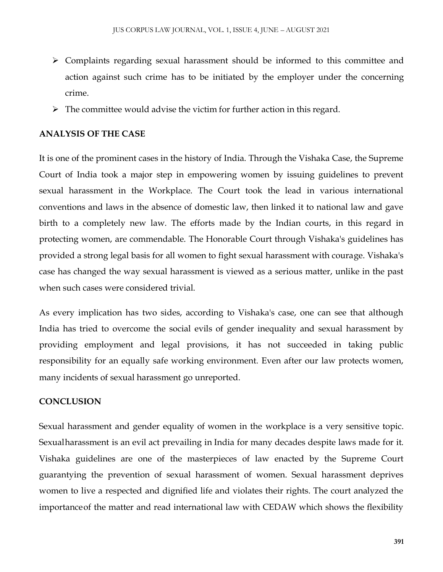- $\triangleright$  Complaints regarding sexual harassment should be informed to this committee and action against such crime has to be initiated by the employer under the concerning crime.
- $\triangleright$  The committee would advise the victim for further action in this regard.

#### **ANALYSIS OF THE CASE**

It is one of the prominent cases in the history of India. Through the Vishaka Case, the Supreme Court of India took a major step in empowering women by issuing guidelines to prevent sexual harassment in the Workplace. The Court took the lead in various international conventions and laws in the absence of domestic law, then linked it to national law and gave birth to a completely new law. The efforts made by the Indian courts, in this regard in protecting women, are commendable. The Honorable Court through Vishaka's guidelines has provided a strong legal basis for all women to fight sexual harassment with courage. Vishaka's case has changed the way sexual harassment is viewed as a serious matter, unlike in the past when such cases were considered trivial.

As every implication has two sides, according to Vishaka's case, one can see that although India has tried to overcome the social evils of gender inequality and sexual harassment by providing employment and legal provisions, it has not succeeded in taking public responsibility for an equally safe working environment. Even after our law protects women, many incidents of sexual harassment go unreported.

#### **CONCLUSION**

Sexual harassment and gender equality of women in the workplace is a very sensitive topic. Sexualharassment is an evil act prevailing in India for many decades despite laws made for it. Vishaka guidelines are one of the masterpieces of law enacted by the Supreme Court guarantying the prevention of sexual harassment of women. Sexual harassment deprives women to live a respected and dignified life and violates their rights. The court analyzed the importanceof the matter and read international law with CEDAW which shows the flexibility